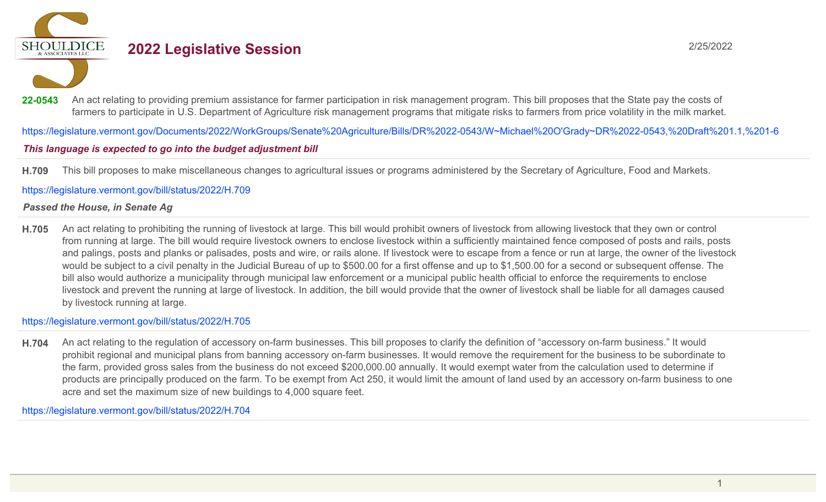**SHOULDICE** 

# **2022 Legislative Session** 2/25/2022

22-0543 An act relating to providing premium assistance for farmer participation in risk management program. This bill proposes that the State pay the costs of farmers to participate in U.S. Department of Agriculture risk management programs that mitigate risks to farmers from price volatility in the milk market.

https://legislature.vermont.gov/Documents/2022/WorkGroups/Senate%20Agriculture/Bills/DR%2022-0543/W~Michael%20O'Grady~DR%2022-0543,%20Draft%201.1,%201-6

# This language is expected to go into the budget adjustment bill

**H.709** This bill proposes to make miscellaneous changes to agricultural issues or programs administered by the Secretary of Agriculture, Food and Markets.

https://legislature.vermont.gov/bill/status/2022/H.709

### *Passed the House, in Senate Ag*

**H.705** An act relating to prohibiting the running of livestock at large. This bill would prohibit owners of livestock from allowing livestock that they own or control from running at large. The bill would require livestock owners to enclose livestock within a sufficiently maintained fence composed of posts and rails, posts and palings, posts and planks or palisades, posts and wire, or rails alone. If livestock were to escape from a fence or run at large, the owner of the livestock would be subject to a civil penalty in the Judicial Bureau of up to \$500.00 for a first offense and up to \$1,500.00 for a second or subsequent offense. The bill also would authorize a municipality through municipal law enforcement or a municipal public health official to enforce the requirements to enclose livestock and prevent the running at large of livestock. In addition, the bill would provide that the owner of livestock shall be liable for all damages caused by livestock running at large.

https://legislature.vermont.gov/bill/status/2022/H.705

**H.704** An act relating to the regulation of accessory on-farm businesses. This bill proposes to clarify the definition of "accessory on-farm business." It would prohibit regional and municipal plans from banning accessory on-farm businesses. It would remove the requirement for the business to be subordinate to the farm, provided gross sales from the business do not exceed \$200,000.00 annually. It would exempt water from the calculation used to determine if products are principally produced on the farm. To be exempt from Act 250, it would limit the amount of land used by an accessory on-farm business to one acre and set the maximum size of new buildings to 4,000 square feet.

https://legislature.vermont.gov/bill/status/2022/H.704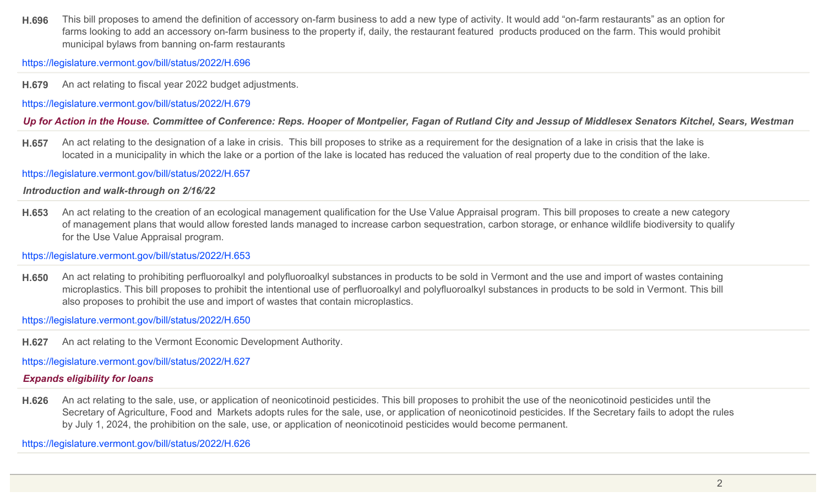**H.696** This bill proposes to amend the definition of accessory on-farm business to add a new type of activity. It would add "on-farm restaurants" as an option for farms looking to add an accessory on-farm business to the property if, daily, the restaurant featured products produced on the farm. This would prohibit municipal bylaws from banning on-farm restaurants

https://legislature.vermont.gov/bill/status/2022/H.696

**H.679** An act relating to fiscal year 2022 budget adjustments.

https://legislature.vermont.gov/bill/status/2022/H.679

*Up for Action in the House. Committee of Conference: Reps. Hooper of Montpelier, Fagan of Rutland City and Jessup of Middlesex Senators Kitchel, Sears, Westman*

**H.657** An act relating to the designation of a lake in crisis. This bill proposes to strike as a requirement for the designation of a lake in crisis that the lake is located in a municipality in which the lake or a portion of the lake is located has reduced the valuation of real property due to the condition of the lake.

https://legislature.vermont.gov/bill/status/2022/H.657

*Introduction and walk-through on 2/16/22*

**H.653** An act relating to the creation of an ecological management qualification for the Use Value Appraisal program. This bill proposes to create a new category of management plans that would allow forested lands managed to increase carbon sequestration, carbon storage, or enhance wildlife biodiversity to qualify for the Use Value Appraisal program.

https://legislature.vermont.gov/bill/status/2022/H.653

**H.650** An act relating to prohibiting perfluoroalkyl and polyfluoroalkyl substances in products to be sold in Vermont and the use and import of wastes containing microplastics. This bill proposes to prohibit the intentional use of perfluoroalkyl and polyfluoroalkyl substances in products to be sold in Vermont. This bill also proposes to prohibit the use and import of wastes that contain microplastics.

https://legislature.vermont.gov/bill/status/2022/H.650

**H.627** An act relating to the Vermont Economic Development Authority.

https://legislature.vermont.gov/bill/status/2022/H.627

# *Expands eligibility for loans*

**H.626** An act relating to the sale, use, or application of neonicotinoid pesticides. This bill proposes to prohibit the use of the neonicotinoid pesticides until the Secretary of Agriculture, Food and Markets adopts rules for the sale, use, or application of neonicotinoid pesticides. If the Secretary fails to adopt the rules by July 1, 2024, the prohibition on the sale, use, or application of neonicotinoid pesticides would become permanent.

https://legislature.vermont.gov/bill/status/2022/H.626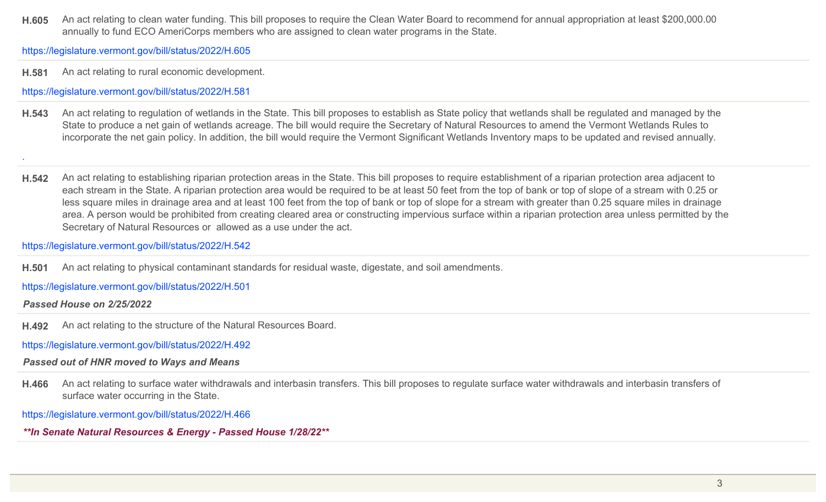**H.605** An act relating to clean water funding. This bill proposes to require the Clean Water Board to recommend for annual appropriation at least \$200,000.00 annually to fund ECO AmeriCorps members who are assigned to clean water programs in the State.

https://legislature.vermont.gov/bill/status/2022/H.605

**H.581** An act relating to rural economic development.

https://legislature.vermont.gov/bill/status/2022/H.581

- **H.543** An act relating to regulation of wetlands in the State. This bill proposes to establish as State policy that wetlands shall be regulated and managed by the State to produce a net gain of wetlands acreage. The bill would require the Secretary of Natural Resources to amend the Vermont Wetlands Rules to incorporate the net gain policy. In addition, the bill would require the Vermont Significant Wetlands Inventory maps to be updated and revised annually.
- **H.542** An act relating to establishing riparian protection areas in the State. This bill proposes to require establishment of a riparian protection area adjacent to each stream in the State. A riparian protection area would be required to be at least 50 feet from the top of bank or top of slope of a stream with 0.25 or less square miles in drainage area and at least 100 feet from the top of bank or top of slope for a stream with greater than 0.25 square miles in drainage area. A person would be prohibited from creating cleared area or constructing impervious surface within a riparian protection area unless permitted by the Secretary of Natural Resources or allowed as a use under the act.

https://legislature.vermont.gov/bill/status/2022/H.542

**H.501** An act relating to physical contaminant standards for residual waste, digestate, and soil amendments.

https://legislature.vermont.gov/bill/status/2022/H.501

*Passed House on 2/25/2022*

.

**H.492** An act relating to the structure of the Natural Resources Board.

https://legislature.vermont.gov/bill/status/2022/H.492

# *Passed out of HNR moved to Ways and Means*

**H.466** An act relating to surface water withdrawals and interbasin transfers. This bill proposes to regulate surface water withdrawals and interbasin transfers of surface water occurring in the State.

https://legislature.vermont.gov/bill/status/2022/H.466

*\*\*In Senate Natural Resources & Energy - Passed House 1/28/22\*\**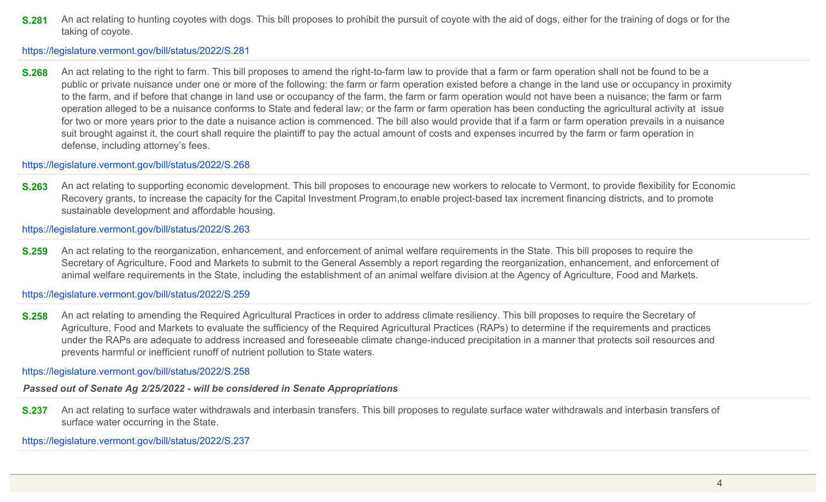**S.281** An act relating to hunting coyotes with dogs. This bill proposes to prohibit the pursuit of coyote with the aid of dogs, either for the training of dogs or for the taking of coyote.

https://legislature.vermont.gov/bill/status/2022/S.281

**S.268** An act relating to the right to farm. This bill proposes to amend the right-to-farm law to provide that a farm or farm operation shall not be found to be a public or private nuisance under one or more of the following: the farm or farm operation existed before a change in the land use or occupancy in proximity to the farm, and if before that change in land use or occupancy of the farm, the farm or farm operation would not have been a nuisance; the farm or farm operation alleged to be a nuisance conforms to State and federal law; or the farm or farm operation has been conducting the agricultural activity at issue for two or more years prior to the date a nuisance action is commenced. The bill also would provide that if a farm or farm operation prevails in a nuisance suit brought against it, the court shall require the plaintiff to pay the actual amount of costs and expenses incurred by the farm or farm operation in defense, including attorney's fees.

https://legislature.vermont.gov/bill/status/2022/S.268

**S.263** An act relating to supporting economic development. This bill proposes to encourage new workers to relocate to Vermont, to provide flexibility for Economic Recovery grants, to increase the capacity for the Capital Investment Program,to enable project-based tax increment financing districts, and to promote sustainable development and affordable housing.

https://legislature.vermont.gov/bill/status/2022/S.263

**S.259** An act relating to the reorganization, enhancement, and enforcement of animal welfare requirements in the State. This bill proposes to require the Secretary of Agriculture, Food and Markets to submit to the General Assembly a report regarding the reorganization, enhancement, and enforcement of animal welfare requirements in the State, including the establishment of an animal welfare division at the Agency of Agriculture, Food and Markets.

https://legislature.vermont.gov/bill/status/2022/S.259

**S.258** An act relating to amending the Required Agricultural Practices in order to address climate resiliency. This bill proposes to require the Secretary of Agriculture, Food and Markets to evaluate the sufficiency of the Required Agricultural Practices (RAPs) to determine if the requirements and practices under the RAPs are adequate to address increased and foreseeable climate change-induced precipitation in a manner that protects soil resources and prevents harmful or inefficient runoff of nutrient pollution to State waters.

https://legislature.vermont.gov/bill/status/2022/S.258

# *Passed out of Senate Ag 2/25/2022 - will be considered in Senate Appropriations*

**S.237** An act relating to surface water withdrawals and interbasin transfers. This bill proposes to regulate surface water withdrawals and interbasin transfers of surface water occurring in the State.

https://legislature.vermont.gov/bill/status/2022/S.237